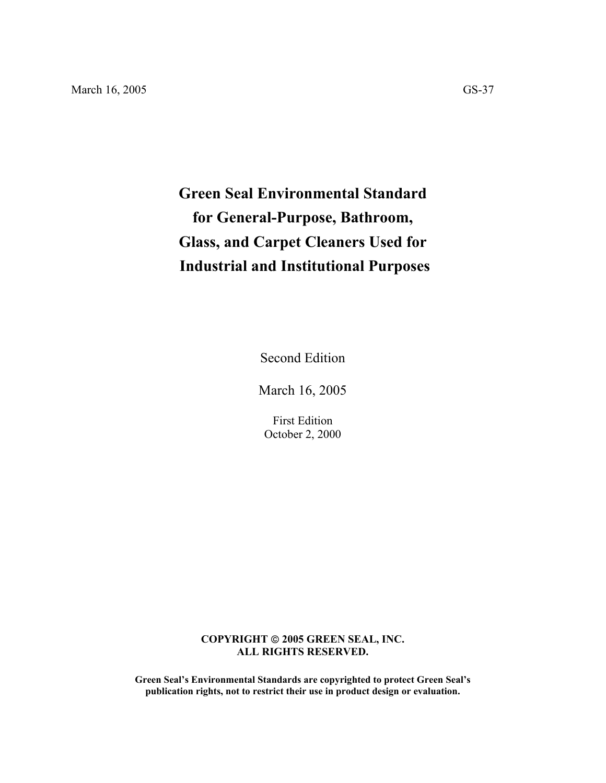# **Green Seal Environmental Standard for General-Purpose, Bathroom, Glass, and Carpet Cleaners Used for Industrial and Institutional Purposes**

Second Edition

March 16, 2005

First Edition October 2, 2000

## **COPYRIGHT 2005 GREEN SEAL, INC. ALL RIGHTS RESERVED.**

**Green Seal's Environmental Standards are copyrighted to protect Green Seal's publication rights, not to restrict their use in product design or evaluation.**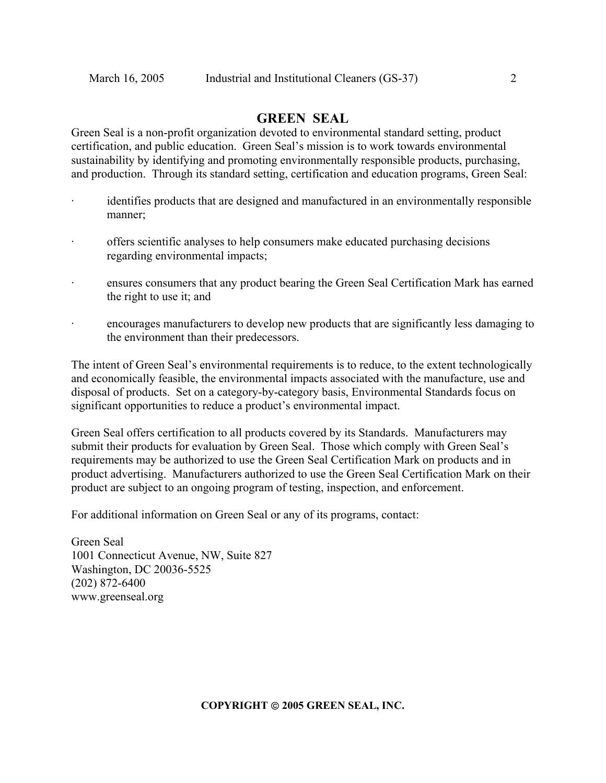## **GREEN SEAL**

Green Seal is a non-profit organization devoted to environmental standard setting, product certification, and public education. Green Seal's mission is to work towards environmental sustainability by identifying and promoting environmentally responsible products, purchasing, and production. Through its standard setting, certification and education programs, Green Seal:

- identifies products that are designed and manufactured in an environmentally responsible manner;
- · offers scientific analyses to help consumers make educated purchasing decisions regarding environmental impacts;
- ensures consumers that any product bearing the Green Seal Certification Mark has earned the right to use it; and
- · encourages manufacturers to develop new products that are significantly less damaging to the environment than their predecessors.

The intent of Green Seal's environmental requirements is to reduce, to the extent technologically and economically feasible, the environmental impacts associated with the manufacture, use and disposal of products. Set on a category-by-category basis, Environmental Standards focus on significant opportunities to reduce a product's environmental impact.

Green Seal offers certification to all products covered by its Standards. Manufacturers may submit their products for evaluation by Green Seal. Those which comply with Green Seal's requirements may be authorized to use the Green Seal Certification Mark on products and in product advertising. Manufacturers authorized to use the Green Seal Certification Mark on their product are subject to an ongoing program of testing, inspection, and enforcement.

For additional information on Green Seal or any of its programs, contact:

Green Seal 1001 Connecticut Avenue, NW, Suite 827 Washington, DC 20036-5525 (202) 872-6400 www.greenseal.org

**COPYRIGHT 2005 GREEN SEAL, INC.**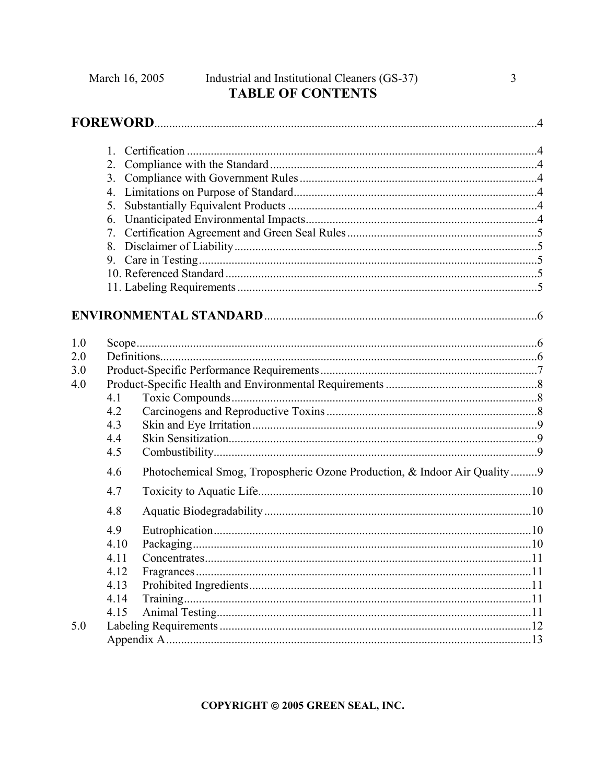|                          | 5.<br>6.<br>7.                                                                         |  |
|--------------------------|----------------------------------------------------------------------------------------|--|
|                          |                                                                                        |  |
| 1.0<br>2.0<br>3.0<br>4.0 | 4.1<br>4.2<br>4.3<br>4.4<br>4.5                                                        |  |
|                          | Photochemical Smog, Tropospheric Ozone Production, & Indoor Air Quality9<br>4.6<br>4.7 |  |
|                          | 4.8                                                                                    |  |
|                          | 4.9<br>4.10<br>4.11<br>4.12<br>4.13<br>4.14<br>4.15                                    |  |
| 5.0                      |                                                                                        |  |

COPYRIGHT @ 2005 GREEN SEAL, INC.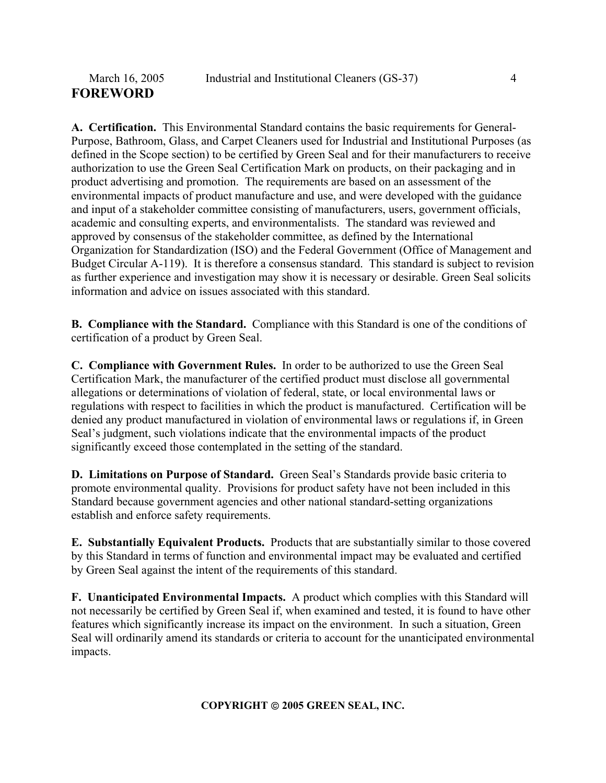**A. Certification.** This Environmental Standard contains the basic requirements for General-Purpose, Bathroom, Glass, and Carpet Cleaners used for Industrial and Institutional Purposes (as defined in the Scope section) to be certified by Green Seal and for their manufacturers to receive authorization to use the Green Seal Certification Mark on products, on their packaging and in product advertising and promotion. The requirements are based on an assessment of the environmental impacts of product manufacture and use, and were developed with the guidance and input of a stakeholder committee consisting of manufacturers, users, government officials, academic and consulting experts, and environmentalists. The standard was reviewed and approved by consensus of the stakeholder committee, as defined by the International Organization for Standardization (ISO) and the Federal Government (Office of Management and Budget Circular A-119). It is therefore a consensus standard. This standard is subject to revision as further experience and investigation may show it is necessary or desirable. Green Seal solicits information and advice on issues associated with this standard.

**B. Compliance with the Standard.** Compliance with this Standard is one of the conditions of certification of a product by Green Seal.

**C. Compliance with Government Rules.** In order to be authorized to use the Green Seal Certification Mark, the manufacturer of the certified product must disclose all governmental allegations or determinations of violation of federal, state, or local environmental laws or regulations with respect to facilities in which the product is manufactured. Certification will be denied any product manufactured in violation of environmental laws or regulations if, in Green Seal's judgment, such violations indicate that the environmental impacts of the product significantly exceed those contemplated in the setting of the standard.

**D. Limitations on Purpose of Standard.** Green Seal's Standards provide basic criteria to promote environmental quality. Provisions for product safety have not been included in this Standard because government agencies and other national standard-setting organizations establish and enforce safety requirements.

**E. Substantially Equivalent Products.** Products that are substantially similar to those covered by this Standard in terms of function and environmental impact may be evaluated and certified by Green Seal against the intent of the requirements of this standard.

**F. Unanticipated Environmental Impacts.** A product which complies with this Standard will not necessarily be certified by Green Seal if, when examined and tested, it is found to have other features which significantly increase its impact on the environment. In such a situation, Green Seal will ordinarily amend its standards or criteria to account for the unanticipated environmental impacts.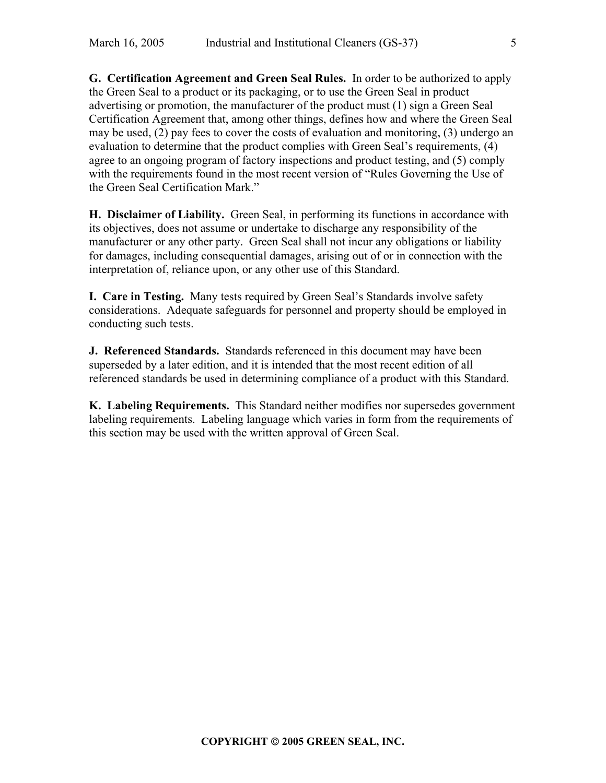**G. Certification Agreement and Green Seal Rules.** In order to be authorized to apply the Green Seal to a product or its packaging, or to use the Green Seal in product advertising or promotion, the manufacturer of the product must (1) sign a Green Seal Certification Agreement that, among other things, defines how and where the Green Seal may be used, (2) pay fees to cover the costs of evaluation and monitoring, (3) undergo an evaluation to determine that the product complies with Green Seal's requirements, (4) agree to an ongoing program of factory inspections and product testing, and (5) comply with the requirements found in the most recent version of "Rules Governing the Use of the Green Seal Certification Mark."

**H. Disclaimer of Liability.** Green Seal, in performing its functions in accordance with its objectives, does not assume or undertake to discharge any responsibility of the manufacturer or any other party. Green Seal shall not incur any obligations or liability for damages, including consequential damages, arising out of or in connection with the interpretation of, reliance upon, or any other use of this Standard.

**I. Care in Testing.** Many tests required by Green Seal's Standards involve safety considerations. Adequate safeguards for personnel and property should be employed in conducting such tests.

**J. Referenced Standards.** Standards referenced in this document may have been superseded by a later edition, and it is intended that the most recent edition of all referenced standards be used in determining compliance of a product with this Standard.

**K. Labeling Requirements.** This Standard neither modifies nor supersedes government labeling requirements. Labeling language which varies in form from the requirements of this section may be used with the written approval of Green Seal.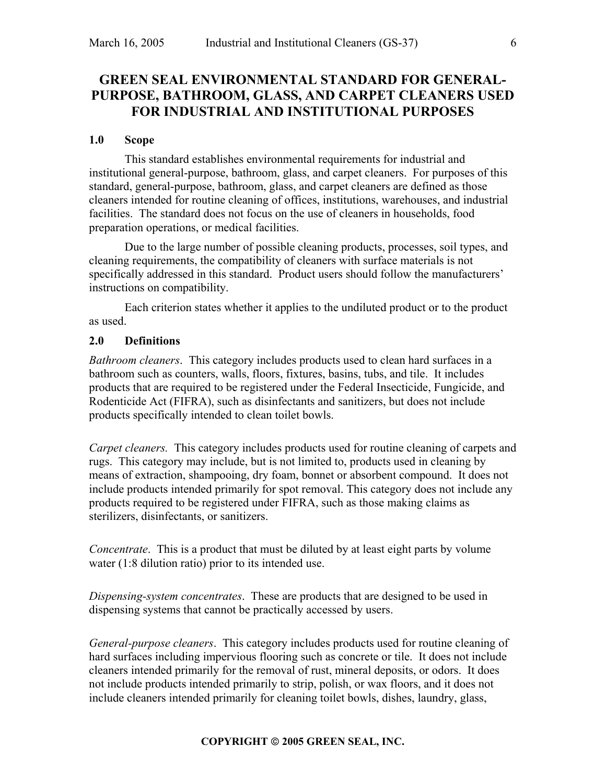## **GREEN SEAL ENVIRONMENTAL STANDARD FOR GENERAL-PURPOSE, BATHROOM, GLASS, AND CARPET CLEANERS USED FOR INDUSTRIAL AND INSTITUTIONAL PURPOSES**

#### **1.0 Scope**

This standard establishes environmental requirements for industrial and institutional general-purpose, bathroom, glass, and carpet cleaners. For purposes of this standard, general-purpose, bathroom, glass, and carpet cleaners are defined as those cleaners intended for routine cleaning of offices, institutions, warehouses, and industrial facilities. The standard does not focus on the use of cleaners in households, food preparation operations, or medical facilities.

Due to the large number of possible cleaning products, processes, soil types, and cleaning requirements, the compatibility of cleaners with surface materials is not specifically addressed in this standard. Product users should follow the manufacturers' instructions on compatibility.

Each criterion states whether it applies to the undiluted product or to the product as used.

#### **2.0 Definitions**

*Bathroom cleaners*. This category includes products used to clean hard surfaces in a bathroom such as counters, walls, floors, fixtures, basins, tubs, and tile. It includes products that are required to be registered under the Federal Insecticide, Fungicide, and Rodenticide Act (FIFRA), such as disinfectants and sanitizers, but does not include products specifically intended to clean toilet bowls.

*Carpet cleaners.* This category includes products used for routine cleaning of carpets and rugs. This category may include, but is not limited to, products used in cleaning by means of extraction, shampooing, dry foam, bonnet or absorbent compound. It does not include products intended primarily for spot removal. This category does not include any products required to be registered under FIFRA, such as those making claims as sterilizers, disinfectants, or sanitizers.

*Concentrate*. This is a product that must be diluted by at least eight parts by volume water (1:8 dilution ratio) prior to its intended use.

*Dispensing-system concentrates*. These are products that are designed to be used in dispensing systems that cannot be practically accessed by users.

*General-purpose cleaners*. This category includes products used for routine cleaning of hard surfaces including impervious flooring such as concrete or tile. It does not include cleaners intended primarily for the removal of rust, mineral deposits, or odors. It does not include products intended primarily to strip, polish, or wax floors, and it does not include cleaners intended primarily for cleaning toilet bowls, dishes, laundry, glass,

#### **COPYRIGHT 2005 GREEN SEAL, INC.**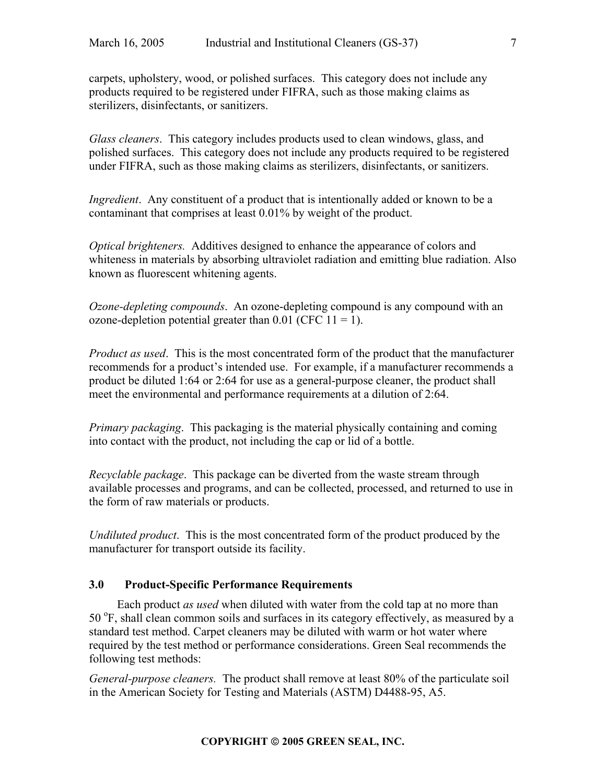carpets, upholstery, wood, or polished surfaces. This category does not include any products required to be registered under FIFRA, such as those making claims as sterilizers, disinfectants, or sanitizers.

*Glass cleaners*. This category includes products used to clean windows, glass, and polished surfaces. This category does not include any products required to be registered under FIFRA, such as those making claims as sterilizers, disinfectants, or sanitizers.

*Ingredient*. Any constituent of a product that is intentionally added or known to be a contaminant that comprises at least 0.01% by weight of the product.

*Optical brighteners.* Additives designed to enhance the appearance of colors and whiteness in materials by absorbing ultraviolet radiation and emitting blue radiation. Also known as fluorescent whitening agents.

*Ozone-depleting compounds*.An ozone-depleting compound is any compound with an ozone-depletion potential greater than  $0.01$  (CFC  $11 = 1$ ).

*Product as used*. This is the most concentrated form of the product that the manufacturer recommends for a product's intended use. For example, if a manufacturer recommends a product be diluted 1:64 or 2:64 for use as a general-purpose cleaner, the product shall meet the environmental and performance requirements at a dilution of 2:64.

*Primary packaging*.This packaging is the material physically containing and coming into contact with the product, not including the cap or lid of a bottle.

*Recyclable package*.This package can be diverted from the waste stream through available processes and programs, and can be collected, processed, and returned to use in the form of raw materials or products.

*Undiluted product*.This is the most concentrated form of the product produced by the manufacturer for transport outside its facility.

## **3.0 Product-Specific Performance Requirements**

Each product *as used* when diluted with water from the cold tap at no more than 50 °F, shall clean common soils and surfaces in its category effectively, as measured by a standard test method. Carpet cleaners may be diluted with warm or hot water where required by the test method or performance considerations. Green Seal recommends the following test methods:

*General-purpose cleaners.* The product shall remove at least 80% of the particulate soil in the American Society for Testing and Materials (ASTM) D4488-95, A5.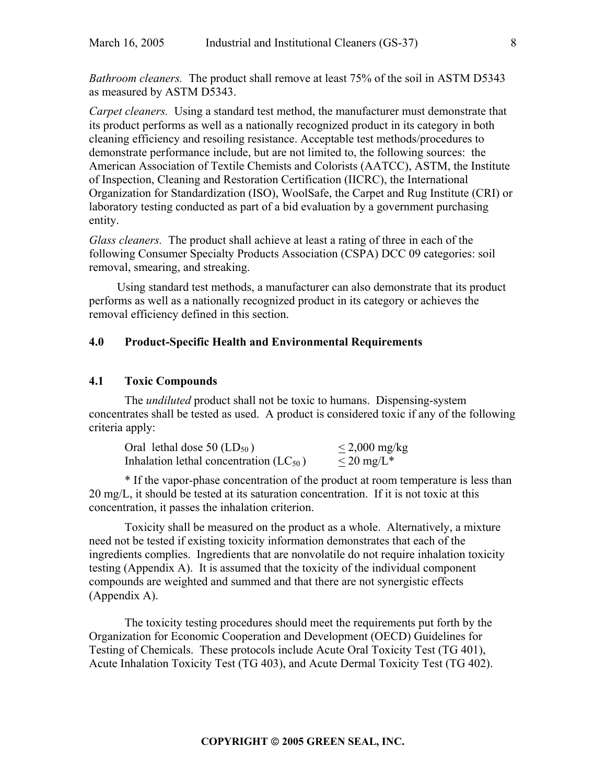*Bathroom cleaners.* The product shall remove at least 75% of the soil in ASTM D5343 as measured by ASTM D5343.

*Carpet cleaners.* Using a standard test method, the manufacturer must demonstrate that its product performs as well as a nationally recognized product in its category in both cleaning efficiency and resoiling resistance. Acceptable test methods/procedures to demonstrate performance include, but are not limited to, the following sources: the American Association of Textile Chemists and Colorists (AATCC), ASTM, the Institute of Inspection, Cleaning and Restoration Certification (IICRC), the International Organization for Standardization (ISO), WoolSafe, the Carpet and Rug Institute (CRI) or laboratory testing conducted as part of a bid evaluation by a government purchasing entity.

*Glass cleaners.* The product shall achieve at least a rating of three in each of the following Consumer Specialty Products Association (CSPA) DCC 09 categories: soil removal, smearing, and streaking.

Using standard test methods, a manufacturer can also demonstrate that its product performs as well as a nationally recognized product in its category or achieves the removal efficiency defined in this section.

## **4.0 Product-Specific Health and Environmental Requirements**

#### **4.1 Toxic Compounds**

The *undiluted* product shall not be toxic to humans. Dispensing-system concentrates shall be tested as used. A product is considered toxic if any of the following criteria apply:

| Oral lethal dose $50$ (LD <sub>50</sub> )   | $\leq$ 2,000 mg/kg    |
|---------------------------------------------|-----------------------|
| Inhalation lethal concentration $(LC_{50})$ | $\rm {\leq}20~mg/L^*$ |

\* If the vapor-phase concentration of the product at room temperature is less than 20 mg/L, it should be tested at its saturation concentration. If it is not toxic at this concentration, it passes the inhalation criterion.

Toxicity shall be measured on the product as a whole. Alternatively, a mixture need not be tested if existing toxicity information demonstrates that each of the ingredients complies. Ingredients that are nonvolatile do not require inhalation toxicity testing (Appendix A). It is assumed that the toxicity of the individual component compounds are weighted and summed and that there are not synergistic effects (Appendix A).

The toxicity testing procedures should meet the requirements put forth by the Organization for Economic Cooperation and Development (OECD) Guidelines for Testing of Chemicals. These protocols include Acute Oral Toxicity Test (TG 401), Acute Inhalation Toxicity Test (TG 403), and Acute Dermal Toxicity Test (TG 402).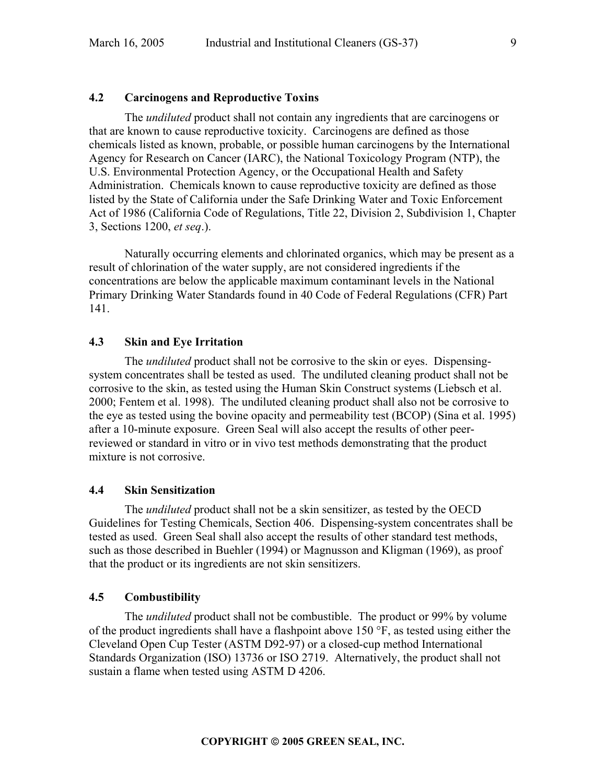## **4.2 Carcinogens and Reproductive Toxins**

The *undiluted* product shall not contain any ingredients that are carcinogens or that are known to cause reproductive toxicity. Carcinogens are defined as those chemicals listed as known, probable, or possible human carcinogens by the International Agency for Research on Cancer (IARC), the National Toxicology Program (NTP), the U.S. Environmental Protection Agency, or the Occupational Health and Safety Administration. Chemicals known to cause reproductive toxicity are defined as those listed by the State of California under the Safe Drinking Water and Toxic Enforcement Act of 1986 (California Code of Regulations, Title 22, Division 2, Subdivision 1, Chapter 3, Sections 1200, *et seq*.).

Naturally occurring elements and chlorinated organics, which may be present as a result of chlorination of the water supply, are not considered ingredients if the concentrations are below the applicable maximum contaminant levels in the National Primary Drinking Water Standards found in 40 Code of Federal Regulations (CFR) Part 141.

#### **4.3 Skin and Eye Irritation**

The *undiluted* product shall not be corrosive to the skin or eyes. Dispensingsystem concentrates shall be tested as used. The undiluted cleaning product shall not be corrosive to the skin, as tested using the Human Skin Construct systems (Liebsch et al. 2000; Fentem et al. 1998). The undiluted cleaning product shall also not be corrosive to the eye as tested using the bovine opacity and permeability test (BCOP) (Sina et al. 1995) after a 10-minute exposure. Green Seal will also accept the results of other peerreviewed or standard in vitro or in vivo test methods demonstrating that the product mixture is not corrosive.

## **4.4 Skin Sensitization**

The *undiluted* product shall not be a skin sensitizer, as tested by the OECD Guidelines for Testing Chemicals, Section 406. Dispensing-system concentrates shall be tested as used. Green Seal shall also accept the results of other standard test methods, such as those described in Buehler (1994) or Magnusson and Kligman (1969), as proof that the product or its ingredients are not skin sensitizers.

#### **4.5 Combustibility**

The *undiluted* product shall not be combustible. The product or 99% by volume of the product ingredients shall have a flashpoint above 150 °F, as tested using either the Cleveland Open Cup Tester (ASTM D92-97) or a closed-cup method International Standards Organization (ISO) 13736 or ISO 2719. Alternatively, the product shall not sustain a flame when tested using ASTM D 4206.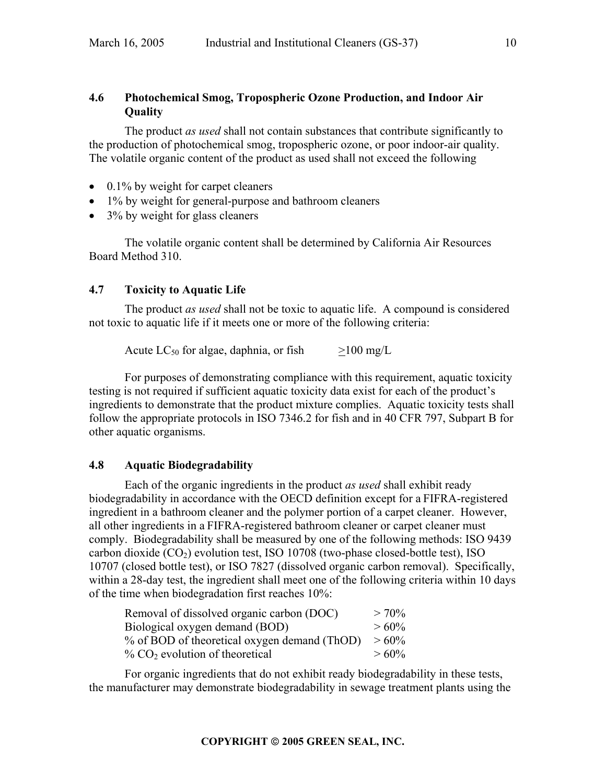## **4.6 Photochemical Smog, Tropospheric Ozone Production, and Indoor Air Quality**

The product *as used* shall not contain substances that contribute significantly to the production of photochemical smog, tropospheric ozone, or poor indoor-air quality. The volatile organic content of the product as used shall not exceed the following

- 0.1% by weight for carpet cleaners
- 1% by weight for general-purpose and bathroom cleaners
- 3% by weight for glass cleaners

The volatile organic content shall be determined by California Air Resources Board Method 310.

## **4.7 Toxicity to Aquatic Life**

The product *as used* shall not be toxic to aquatic life. A compound is considered not toxic to aquatic life if it meets one or more of the following criteria:

Acute  $LC_{50}$  for algae, daphnia, or fish  $>100 \text{ mg/L}$ 

For purposes of demonstrating compliance with this requirement, aquatic toxicity testing is not required if sufficient aquatic toxicity data exist for each of the product's ingredients to demonstrate that the product mixture complies. Aquatic toxicity tests shall follow the appropriate protocols in ISO 7346.2 for fish and in 40 CFR 797, Subpart B for other aquatic organisms.

## **4.8 Aquatic Biodegradability**

Each of the organic ingredients in the product *as used* shall exhibit ready biodegradability in accordance with the OECD definition except for a FIFRA-registered ingredient in a bathroom cleaner and the polymer portion of a carpet cleaner. However, all other ingredients in a FIFRA-registered bathroom cleaner or carpet cleaner must comply. Biodegradability shall be measured by one of the following methods: ISO 9439 carbon dioxide  $(CO<sub>2</sub>)$  evolution test, ISO 10708 (two-phase closed-bottle test), ISO 10707 (closed bottle test), or ISO 7827 (dissolved organic carbon removal). Specifically, within a 28-day test, the ingredient shall meet one of the following criteria within 10 days of the time when biodegradation first reaches 10%:

| Removal of dissolved organic carbon (DOC)     | $> 70\%$ |
|-----------------------------------------------|----------|
| Biological oxygen demand (BOD)                | $>60\%$  |
| % of BOD of theoretical oxygen demand (ThOD)  | $>60\%$  |
| $\%$ CO <sub>2</sub> evolution of theoretical | $>60\%$  |

For organic ingredients that do not exhibit ready biodegradability in these tests, the manufacturer may demonstrate biodegradability in sewage treatment plants using the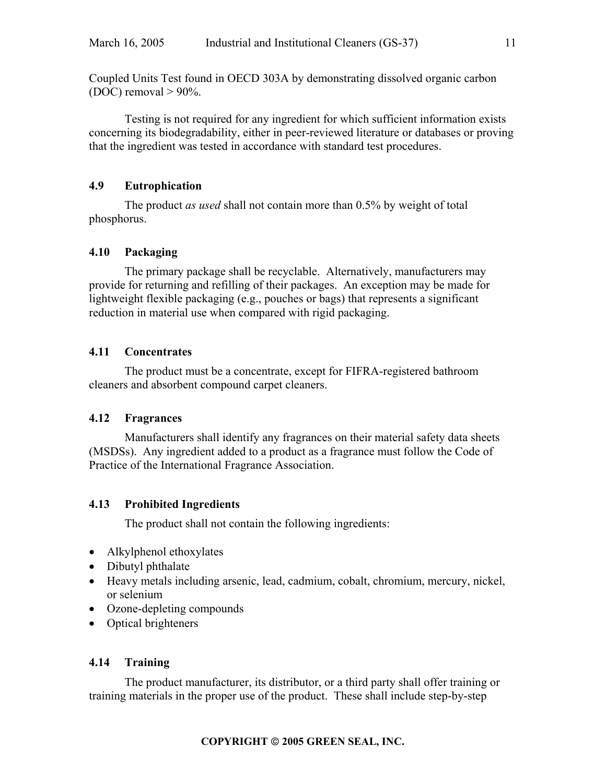Coupled Units Test found in OECD 303A by demonstrating dissolved organic carbon (DOC) removal  $> 90\%$ .

Testing is not required for any ingredient for which sufficient information exists concerning its biodegradability, either in peer-reviewed literature or databases or proving that the ingredient was tested in accordance with standard test procedures.

## **4.9 Eutrophication**

The product *as used* shall not contain more than 0.5% by weight of total phosphorus.

## **4.10 Packaging**

The primary package shall be recyclable. Alternatively, manufacturers may provide for returning and refilling of their packages. An exception may be made for lightweight flexible packaging (e.g., pouches or bags) that represents a significant reduction in material use when compared with rigid packaging.

## **4.11 Concentrates**

The product must be a concentrate, except for FIFRA-registered bathroom cleaners and absorbent compound carpet cleaners.

## **4.12 Fragrances**

Manufacturers shall identify any fragrances on their material safety data sheets (MSDSs). Any ingredient added to a product as a fragrance must follow the Code of Practice of the International Fragrance Association.

## **4.13 Prohibited Ingredients**

The product shall not contain the following ingredients:

- Alkylphenol ethoxylates
- Dibutyl phthalate
- Heavy metals including arsenic, lead, cadmium, cobalt, chromium, mercury, nickel, or selenium
- Ozone-depleting compounds
- Optical brighteners

## **4.14 Training**

The product manufacturer, its distributor, or a third party shall offer training or training materials in the proper use of the product. These shall include step-by-step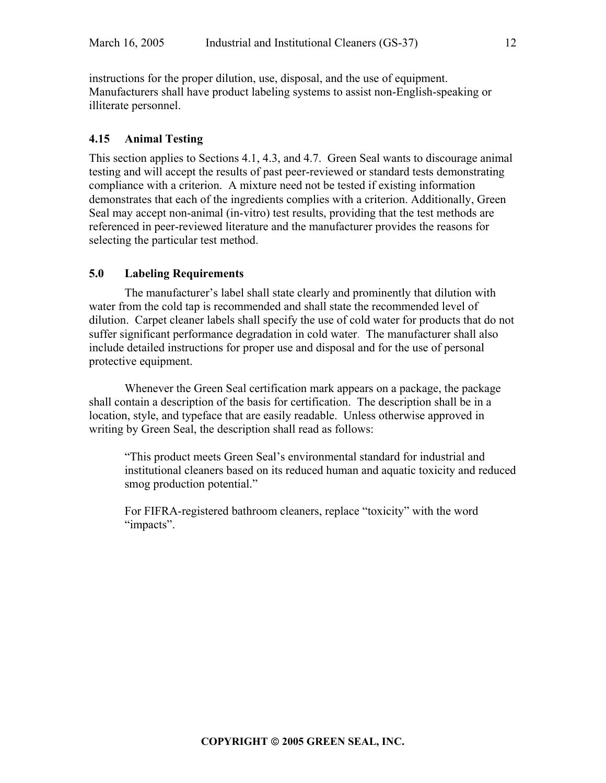instructions for the proper dilution, use, disposal, and the use of equipment. Manufacturers shall have product labeling systems to assist non-English-speaking or illiterate personnel.

#### **4.15 Animal Testing**

This section applies to Sections 4.1, 4.3, and 4.7. Green Seal wants to discourage animal testing and will accept the results of past peer-reviewed or standard tests demonstrating compliance with a criterion. A mixture need not be tested if existing information demonstrates that each of the ingredients complies with a criterion. Additionally, Green Seal may accept non-animal (in-vitro) test results, providing that the test methods are referenced in peer-reviewed literature and the manufacturer provides the reasons for selecting the particular test method.

#### **5.0 Labeling Requirements**

The manufacturer's label shall state clearly and prominently that dilution with water from the cold tap is recommended and shall state the recommended level of dilution. Carpet cleaner labels shall specify the use of cold water for products that do not suffer significant performance degradation in cold water. The manufacturer shall also include detailed instructions for proper use and disposal and for the use of personal protective equipment.

Whenever the Green Seal certification mark appears on a package, the package shall contain a description of the basis for certification. The description shall be in a location, style, and typeface that are easily readable. Unless otherwise approved in writing by Green Seal, the description shall read as follows:

"This product meets Green Seal's environmental standard for industrial and institutional cleaners based on its reduced human and aquatic toxicity and reduced smog production potential."

For FIFRA-registered bathroom cleaners, replace "toxicity" with the word "impacts".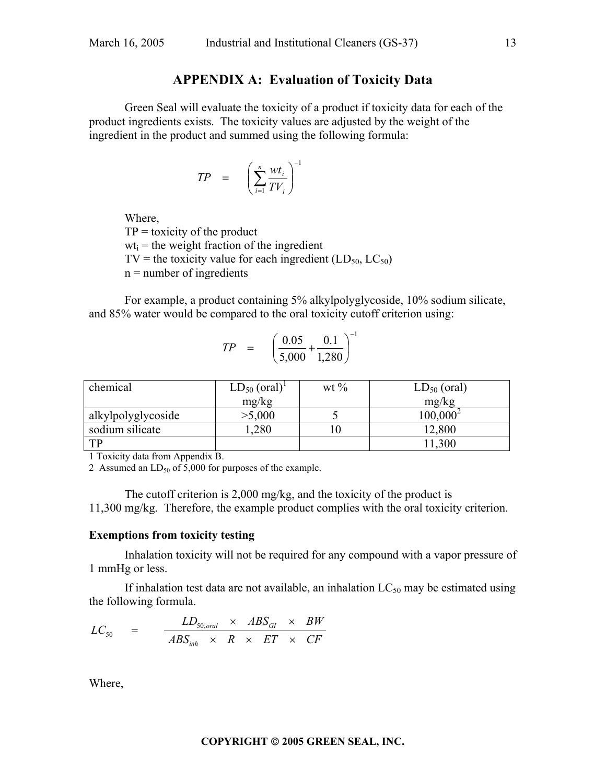## **APPENDIX A: Evaluation of Toxicity Data**

Green Seal will evaluate the toxicity of a product if toxicity data for each of the product ingredients exists. The toxicity values are adjusted by the weight of the ingredient in the product and summed using the following formula:

$$
TP = \left(\sum_{i=1}^{n} \frac{wt_i}{TV_i}\right)^{-1}
$$

Where,

 $TP =$  toxicity of the product  $wt_i$  = the weight fraction of the ingredient TV = the toxicity value for each ingredient  $(LD_{50}, LC_{50})$  $n =$  number of ingredients

For example, a product containing 5% alkylpolyglycoside, 10% sodium silicate, and 85% water would be compared to the oral toxicity cutoff criterion using:

$$
TP = \left(\frac{0.05}{5,000} + \frac{0.1}{1,280}\right)^{-1}
$$

| chemical           | $LD_{50}$ (oral) <sup>1</sup> | wt $\%$ | $LD_{50}$ (oral) |
|--------------------|-------------------------------|---------|------------------|
|                    | mg/kg                         |         | mg/kg            |
| alkylpolyglycoside | >5,000                        |         | $100,000^2$      |
| sodium silicate    | ,280                          | ιU      | 2,800            |
| TP                 |                               |         | ,300             |

1 Toxicity data from Appendix B.

2 Assumed an  $LD_{50}$  of 5,000 for purposes of the example.

The cutoff criterion is 2,000 mg/kg, and the toxicity of the product is 11,300 mg/kg. Therefore, the example product complies with the oral toxicity criterion.

## **Exemptions from toxicity testing**

Inhalation toxicity will not be required for any compound with a vapor pressure of 1 mmHg or less.

If inhalation test data are not available, an inhalation  $LC_{50}$  may be estimated using the following formula.

$$
LC_{50} = \frac{LD_{50,oral} \times ABS_{GI} \times BW}{ABS_{inh} \times R \times ET \times CF}
$$

Where,